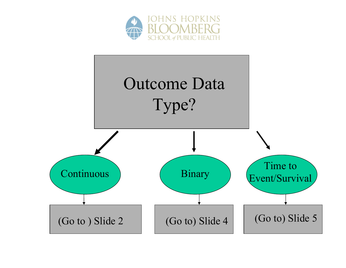

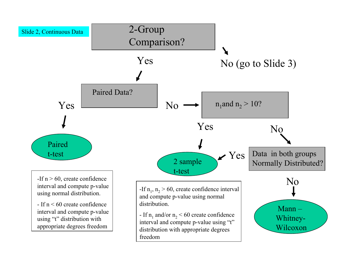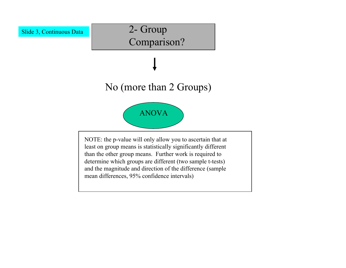

## 2- Group Comparison?

## No (more than 2 Groups)



NOTE: the p-value will only allow you to ascertain that at least on group means is statistically significantly different than the other group means. Further work is required to determine which groups are different (two sample t-tests) and the magnitude and direction of the difference (sample mean differences, 95% confidence intervals)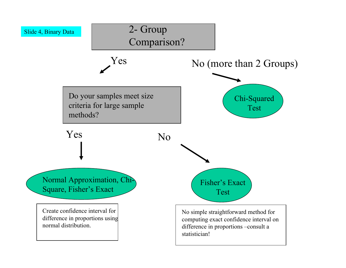